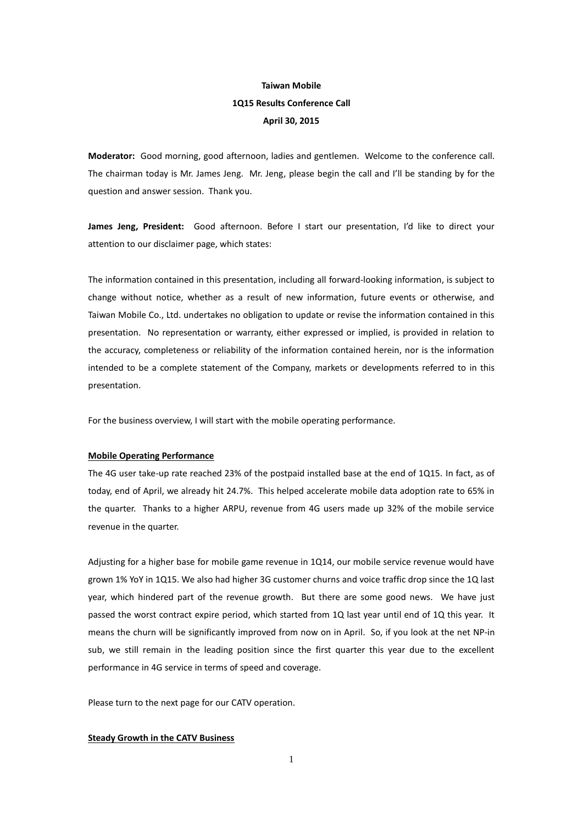# **Taiwan Mobile 1Q15 Results Conference Call April 30, 2015**

**Moderator:** Good morning, good afternoon, ladies and gentlemen. Welcome to the conference call. The chairman today is Mr. James Jeng. Mr. Jeng, please begin the call and I'll be standing by for the question and answer session. Thank you.

**James Jeng, President:** Good afternoon. Before I start our presentation, I'd like to direct your attention to our disclaimer page, which states:

The information contained in this presentation, including all forward-looking information, is subject to change without notice, whether as a result of new information, future events or otherwise, and Taiwan Mobile Co., Ltd. undertakes no obligation to update or revise the information contained in this presentation. No representation or warranty, either expressed or implied, is provided in relation to the accuracy, completeness or reliability of the information contained herein, nor is the information intended to be a complete statement of the Company, markets or developments referred to in this presentation.

For the business overview, I will start with the mobile operating performance.

#### **Mobile Operating Performance**

The 4G user take-up rate reached 23% of the postpaid installed base at the end of 1Q15. In fact, as of today, end of April, we already hit 24.7%. This helped accelerate mobile data adoption rate to 65% in the quarter. Thanks to a higher ARPU, revenue from 4G users made up 32% of the mobile service revenue in the quarter.

Adjusting for a higher base for mobile game revenue in 1Q14, our mobile service revenue would have grown 1% YoY in 1Q15. We also had higher 3G customer churns and voice traffic drop since the 1Q last year, which hindered part of the revenue growth. But there are some good news. We have just passed the worst contract expire period, which started from 1Q last year until end of 1Q this year. It means the churn will be significantly improved from now on in April. So, if you look at the net NP-in sub, we still remain in the leading position since the first quarter this year due to the excellent performance in 4G service in terms of speed and coverage.

Please turn to the next page for our CATV operation.

### **Steady Growth in the CATV Business**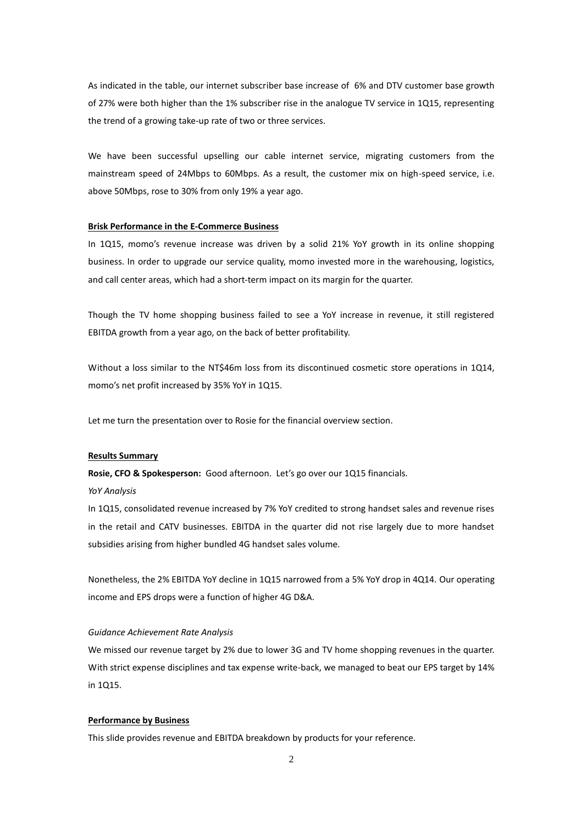As indicated in the table, our internet subscriber base increase of 6% and DTV customer base growth of 27% were both higher than the 1% subscriber rise in the analogue TV service in 1Q15, representing the trend of a growing take-up rate of two or three services.

We have been successful upselling our cable internet service, migrating customers from the mainstream speed of 24Mbps to 60Mbps. As a result, the customer mix on high-speed service, i.e. above 50Mbps, rose to 30% from only 19% a year ago.

#### **Brisk Performance in the E-Commerce Business**

In 1Q15, momo's revenue increase was driven by a solid 21% YoY growth in its online shopping business. In order to upgrade our service quality, momo invested more in the warehousing, logistics, and call center areas, which had a short-term impact on its margin for the quarter.

Though the TV home shopping business failed to see a YoY increase in revenue, it still registered EBITDA growth from a year ago, on the back of better profitability.

Without a loss similar to the NT\$46m loss from its discontinued cosmetic store operations in 1Q14, momo's net profit increased by 35% YoY in 1Q15.

Let me turn the presentation over to Rosie for the financial overview section.

#### **Results Summary**

**Rosie, CFO & Spokesperson:** Good afternoon. Let's go over our 1Q15 financials.

*YoY Analysis*

In 1Q15, consolidated revenue increased by 7% YoY credited to strong handset sales and revenue rises in the retail and CATV businesses. EBITDA in the quarter did not rise largely due to more handset subsidies arising from higher bundled 4G handset sales volume.

Nonetheless, the 2% EBITDA YoY decline in 1Q15 narrowed from a 5% YoY drop in 4Q14. Our operating income and EPS drops were a function of higher 4G D&A.

#### *Guidance Achievement Rate Analysis*

We missed our revenue target by 2% due to lower 3G and TV home shopping revenues in the quarter. With strict expense disciplines and tax expense write-back, we managed to beat our EPS target by 14% in 1Q15.

### **Performance by Business**

This slide provides revenue and EBITDA breakdown by products for your reference.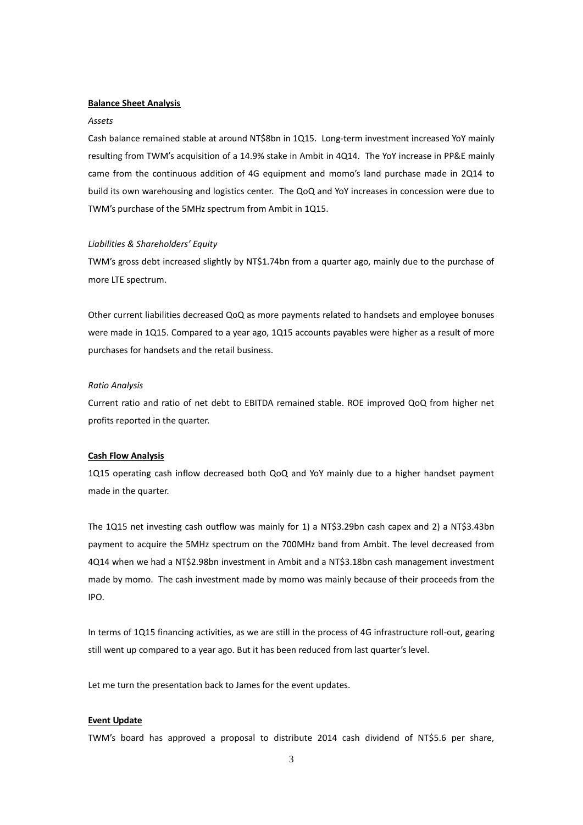#### **Balance Sheet Analysis**

#### *Assets*

Cash balance remained stable at around NT\$8bn in 1Q15. Long-term investment increased YoY mainly resulting from TWM's acquisition of a 14.9% stake in Ambit in 4Q14. The YoY increase in PP&E mainly came from the continuous addition of 4G equipment and momo's land purchase made in 2Q14 to build its own warehousing and logistics center. The QoQ and YoY increases in concession were due to TWM's purchase of the 5MHz spectrum from Ambit in 1Q15.

#### *Liabilities & Shareholders' Equity*

TWM's gross debt increased slightly by NT\$1.74bn from a quarter ago, mainly due to the purchase of more LTE spectrum.

Other current liabilities decreased QoQ as more payments related to handsets and employee bonuses were made in 1Q15. Compared to a year ago, 1Q15 accounts payables were higher as a result of more purchases for handsets and the retail business.

#### *Ratio Analysis*

Current ratio and ratio of net debt to EBITDA remained stable. ROE improved QoQ from higher net profits reported in the quarter.

## **Cash Flow Analysis**

1Q15 operating cash inflow decreased both QoQ and YoY mainly due to a higher handset payment made in the quarter.

The 1Q15 net investing cash outflow was mainly for 1) a NT\$3.29bn cash capex and 2) a NT\$3.43bn payment to acquire the 5MHz spectrum on the 700MHz band from Ambit. The level decreased from 4Q14 when we had a NT\$2.98bn investment in Ambit and a NT\$3.18bn cash management investment made by momo. The cash investment made by momo was mainly because of their proceeds from the IPO.

In terms of 1Q15 financing activities, as we are still in the process of 4G infrastructure roll-out, gearing still went up compared to a year ago. But it has been reduced from last quarter's level.

Let me turn the presentation back to James for the event updates.

## **Event Update**

TWM's board has approved a proposal to distribute 2014 cash dividend of NT\$5.6 per share,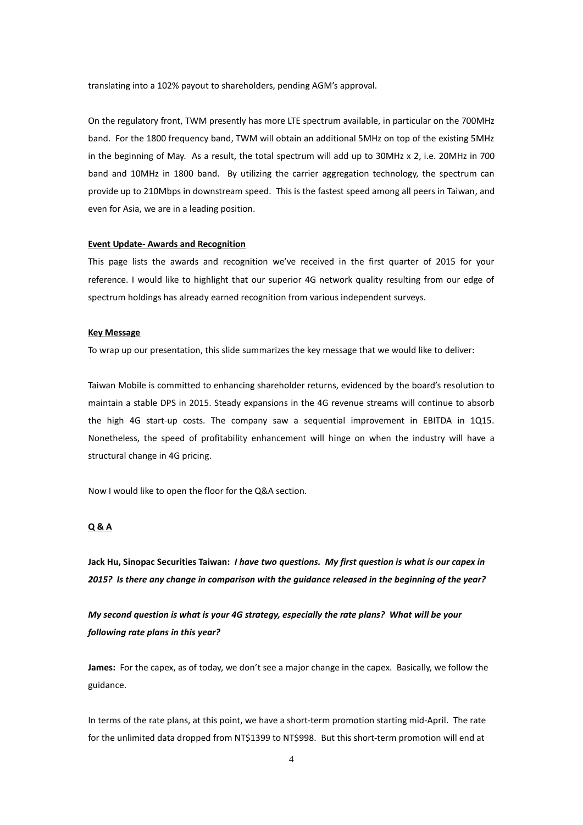translating into a 102% payout to shareholders, pending AGM's approval.

On the regulatory front, TWM presently has more LTE spectrum available, in particular on the 700MHz band. For the 1800 frequency band, TWM will obtain an additional 5MHz on top of the existing 5MHz in the beginning of May. As a result, the total spectrum will add up to 30MHz x 2, i.e. 20MHz in 700 band and 10MHz in 1800 band. By utilizing the carrier aggregation technology, the spectrum can provide up to 210Mbps in downstream speed. This is the fastest speed among all peers in Taiwan, and even for Asia, we are in a leading position.

#### **Event Update- Awards and Recognition**

This page lists the awards and recognition we've received in the first quarter of 2015 for your reference. I would like to highlight that our superior 4G network quality resulting from our edge of spectrum holdings has already earned recognition from various independent surveys.

#### **Key Message**

To wrap up our presentation, this slide summarizes the key message that we would like to deliver:

Taiwan Mobile is committed to enhancing shareholder returns, evidenced by the board's resolution to maintain a stable DPS in 2015. Steady expansions in the 4G revenue streams will continue to absorb the high 4G start-up costs. The company saw a sequential improvement in EBITDA in 1Q15. Nonetheless, the speed of profitability enhancement will hinge on when the industry will have a structural change in 4G pricing.

Now I would like to open the floor for the Q&A section.

## **Q & A**

**Jack Hu, Sinopac Securities Taiwan:** *I have two questions. My first question is what is our capex in 2015? Is there any change in comparison with the guidance released in the beginning of the year?*

*My second question is what is your 4G strategy, especially the rate plans? What will be your following rate plans in this year?*

**James:** For the capex, as of today, we don't see a major change in the capex. Basically, we follow the guidance.

In terms of the rate plans, at this point, we have a short-term promotion starting mid-April. The rate for the unlimited data dropped from NT\$1399 to NT\$998. But this short-term promotion will end at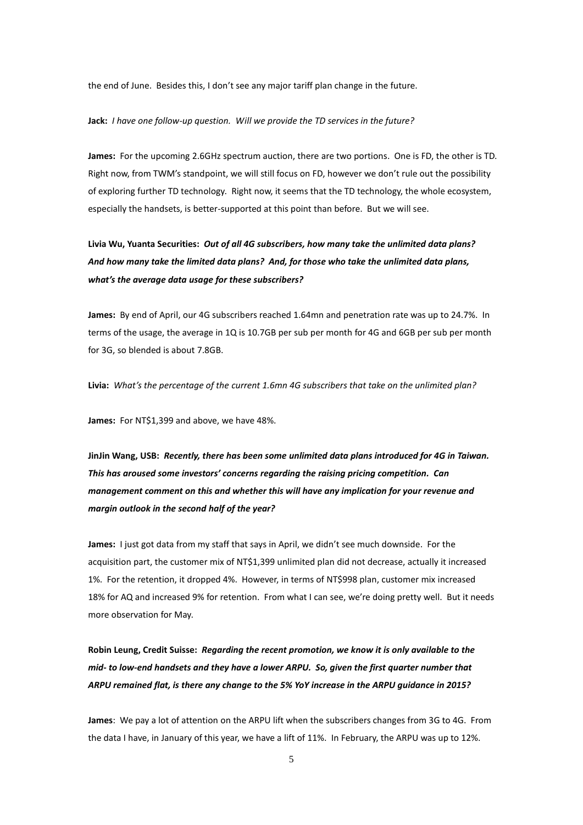the end of June. Besides this, I don't see any major tariff plan change in the future.

#### **Jack:** *I have one follow-up question. Will we provide the TD services in the future?*

**James:** For the upcoming 2.6GHz spectrum auction, there are two portions. One is FD, the other is TD. Right now, from TWM's standpoint, we will still focus on FD, however we don't rule out the possibility of exploring further TD technology. Right now, it seems that the TD technology, the whole ecosystem, especially the handsets, is better-supported at this point than before. But we will see.

**Livia Wu, Yuanta Securities:** *Out of all 4G subscribers, how many take the unlimited data plans? And how many take the limited data plans? And, for those who take the unlimited data plans, what's the average data usage for these subscribers?*

**James:** By end of April, our 4G subscribers reached 1.64mn and penetration rate was up to 24.7%. In terms of the usage, the average in 1Q is 10.7GB per sub per month for 4G and 6GB per sub per month for 3G, so blended is about 7.8GB.

**Livia:** *What's the percentage of the current 1.6mn 4G subscribers that take on the unlimited plan?*

**James:** For NT\$1,399 and above, we have 48%.

**JinJin Wang, USB:** *Recently, there has been some unlimited data plans introduced for 4G in Taiwan. This has aroused some investors' concerns regarding the raising pricing competition. Can management comment on this and whether this will have any implication for your revenue and margin outlook in the second half of the year?*

**James:** I just got data from my staff that says in April, we didn't see much downside. For the acquisition part, the customer mix of NT\$1,399 unlimited plan did not decrease, actually it increased 1%. For the retention, it dropped 4%. However, in terms of NT\$998 plan, customer mix increased 18% for AQ and increased 9% for retention. From what I can see, we're doing pretty well. But it needs more observation for May.

**Robin Leung, Credit Suisse:** *Regarding the recent promotion, we know it is only available to the mid- to low-end handsets and they have a lower ARPU. So, given the first quarter number that ARPU remained flat, is there any change to the 5% YoY increase in the ARPU guidance in 2015?*

**James**: We pay a lot of attention on the ARPU lift when the subscribers changes from 3G to 4G. From the data I have, in January of this year, we have a lift of 11%. In February, the ARPU was up to 12%.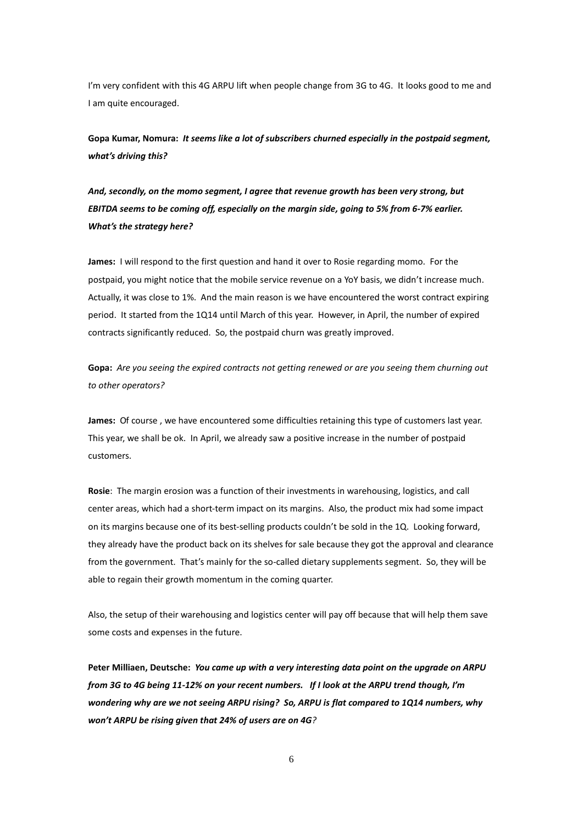I'm very confident with this 4G ARPU lift when people change from 3G to 4G. It looks good to me and I am quite encouraged.

**Gopa Kumar, Nomura:** *It seems like a lot of subscribers churned especially in the postpaid segment, what's driving this?* 

*And, secondly, on the momo segment, I agree that revenue growth has been very strong, but EBITDA seems to be coming off, especially on the margin side, going to 5% from 6-7% earlier. What's the strategy here?*

**James:** I will respond to the first question and hand it over to Rosie regarding momo. For the postpaid, you might notice that the mobile service revenue on a YoY basis, we didn't increase much. Actually, it was close to 1%. And the main reason is we have encountered the worst contract expiring period. It started from the 1Q14 until March of this year. However, in April, the number of expired contracts significantly reduced. So, the postpaid churn was greatly improved.

**Gopa:** *Are you seeing the expired contracts not getting renewed or are you seeing them churning out to other operators?*

**James:** Of course , we have encountered some difficulties retaining this type of customers last year. This year, we shall be ok. In April, we already saw a positive increase in the number of postpaid customers.

**Rosie**: The margin erosion was a function of their investments in warehousing, logistics, and call center areas, which had a short-term impact on its margins. Also, the product mix had some impact on its margins because one of its best-selling products couldn't be sold in the 1Q. Looking forward, they already have the product back on its shelves for sale because they got the approval and clearance from the government. That's mainly for the so-called dietary supplements segment. So, they will be able to regain their growth momentum in the coming quarter.

Also, the setup of their warehousing and logistics center will pay off because that will help them save some costs and expenses in the future.

**Peter Milliaen, Deutsche:** *You came up with a very interesting data point on the upgrade on ARPU from 3G to 4G being 11-12% on your recent numbers. If I look at the ARPU trend though, I'm wondering why are we not seeing ARPU rising? So, ARPU is flat compared to 1Q14 numbers, why won't ARPU be rising given that 24% of users are on 4G?*